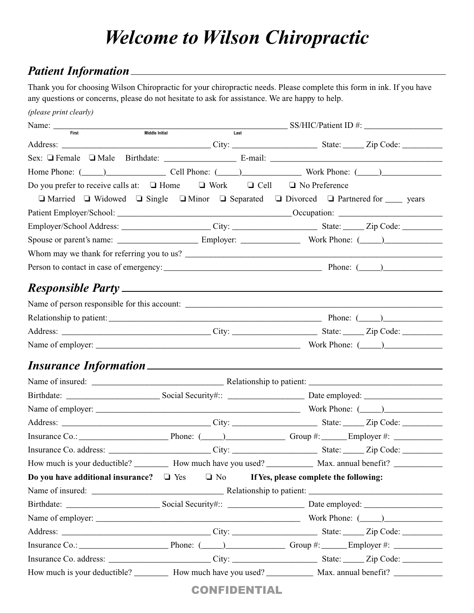## *Welcome to Wilson Chiropractic*

## *Patient Information*

Thank you for choosing Wilson Chiropractic for your chiropractic needs. Please complete this form in ink. If you have any questions or concerns, please do not hesitate to ask for assistance. We are happy to help.

| (please print clearly)                                                                                                                                                                                                         |                        |                                                                                                                                                                                                                                       |
|--------------------------------------------------------------------------------------------------------------------------------------------------------------------------------------------------------------------------------|------------------------|---------------------------------------------------------------------------------------------------------------------------------------------------------------------------------------------------------------------------------------|
| Name: $\frac{1}{\text{First}}$                                                                                                                                                                                                 | Middle Initial<br>Last | $SS/HIC/Patient ID \#$ :                                                                                                                                                                                                              |
|                                                                                                                                                                                                                                |                        |                                                                                                                                                                                                                                       |
|                                                                                                                                                                                                                                |                        |                                                                                                                                                                                                                                       |
|                                                                                                                                                                                                                                |                        | Home Phone: ( <u>Call Phone: (Call Phone: (Call Phone: (Call Phone: (Call Phone: (Call Phone: (Call Phone: (Call Phone: (Call Phone: (Call Phone: (Call Phone: (Call Phone: (Call Phone: (Call Phone: (Call Phone: (Call Phone: (</u> |
| Do you prefer to receive calls at: $\Box$ Home $\Box$ Work $\Box$ Cell $\Box$ No Preference                                                                                                                                    |                        |                                                                                                                                                                                                                                       |
|                                                                                                                                                                                                                                |                        | $\Box$ Married $\Box$ Widowed $\Box$ Single $\Box$ Minor $\Box$ Separated $\Box$ Divorced $\Box$ Partnered for $\Box$ years                                                                                                           |
|                                                                                                                                                                                                                                |                        |                                                                                                                                                                                                                                       |
|                                                                                                                                                                                                                                |                        | Employer/School Address: City: City: State: Zip Code: City: City: City: City: City: City: City: City: City: City: City: City: City: City: City: City: City: City: City: City: City: City: City: City: City: City: City: City:         |
|                                                                                                                                                                                                                                |                        |                                                                                                                                                                                                                                       |
|                                                                                                                                                                                                                                |                        | Whom may we thank for referring you to us?                                                                                                                                                                                            |
|                                                                                                                                                                                                                                |                        |                                                                                                                                                                                                                                       |
| Responsible Party expansion of the contract of the contract of the contract of the contract of the contract of the contract of the contract of the contract of the contract of the contract of the contract of the contract of |                        |                                                                                                                                                                                                                                       |
|                                                                                                                                                                                                                                |                        | Name of person responsible for this account:                                                                                                                                                                                          |
|                                                                                                                                                                                                                                |                        |                                                                                                                                                                                                                                       |
|                                                                                                                                                                                                                                |                        |                                                                                                                                                                                                                                       |
|                                                                                                                                                                                                                                |                        |                                                                                                                                                                                                                                       |
|                                                                                                                                                                                                                                |                        |                                                                                                                                                                                                                                       |
|                                                                                                                                                                                                                                |                        |                                                                                                                                                                                                                                       |
|                                                                                                                                                                                                                                |                        |                                                                                                                                                                                                                                       |
|                                                                                                                                                                                                                                |                        |                                                                                                                                                                                                                                       |
|                                                                                                                                                                                                                                |                        |                                                                                                                                                                                                                                       |
|                                                                                                                                                                                                                                |                        |                                                                                                                                                                                                                                       |
|                                                                                                                                                                                                                                |                        | Insurance Co.: $\qquad \qquad$ Phone: $\qquad \qquad$ Phone: $\qquad \qquad$ Group #: $\qquad \qquad$ Employer #:                                                                                                                     |
|                                                                                                                                                                                                                                |                        |                                                                                                                                                                                                                                       |
|                                                                                                                                                                                                                                |                        | How much is your deductible? ___________ How much have you used? ______________ Max. annual benefit? ___________                                                                                                                      |
| Do you have additional insurance? $\Box$ Yes $\Box$ No If Yes, please complete the following:                                                                                                                                  |                        |                                                                                                                                                                                                                                       |
|                                                                                                                                                                                                                                |                        |                                                                                                                                                                                                                                       |
|                                                                                                                                                                                                                                |                        |                                                                                                                                                                                                                                       |
|                                                                                                                                                                                                                                |                        |                                                                                                                                                                                                                                       |
|                                                                                                                                                                                                                                |                        |                                                                                                                                                                                                                                       |
|                                                                                                                                                                                                                                |                        |                                                                                                                                                                                                                                       |
|                                                                                                                                                                                                                                |                        |                                                                                                                                                                                                                                       |
|                                                                                                                                                                                                                                |                        | How much is your deductible? ___________ How much have you used? _______________ Max. annual benefit? ______________                                                                                                                  |

CONFIDENTIAL